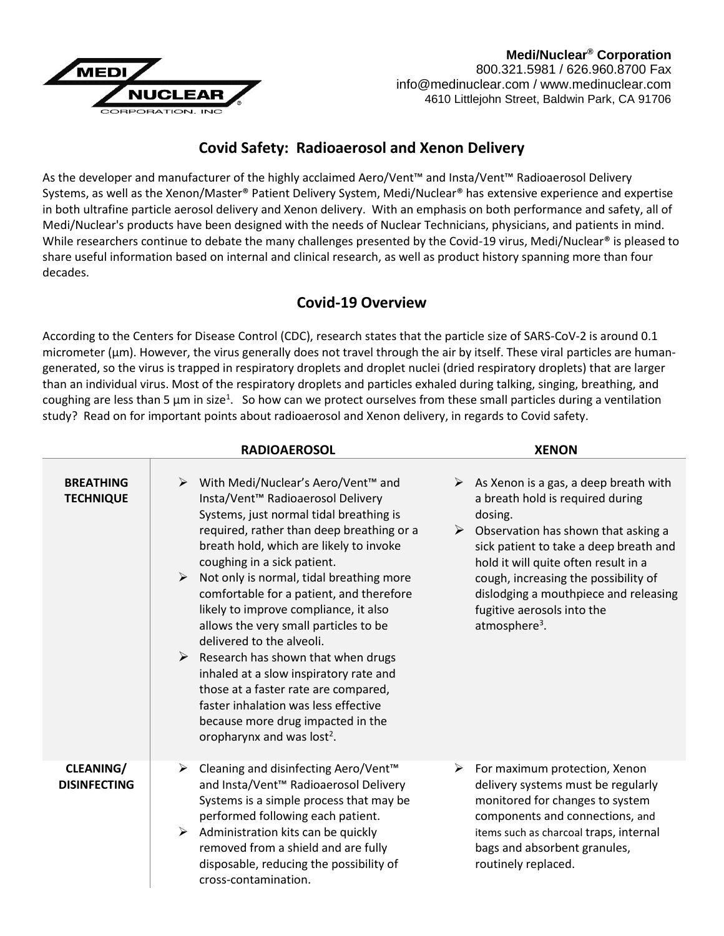

**Medi/Nuclear® Corporation** 800.321.5981 / 626.960.8700 Fax [info@medinuclear.com](mailto:info@medinuclear.com) / [www.medinuclear.com](http://www.medinuclear.com/) 4610 Littlejohn Street, Baldwin Park, CA 91706

## **Covid Safety: Radioaerosol and Xenon Delivery**

As the developer and manufacturer of the highly acclaimed Aero/Vent™ and Insta/Vent™ Radioaerosol Delivery Systems, as well as the Xenon/Master® Patient Delivery System, Medi/Nuclear® has extensive experience and expertise in both ultrafine particle aerosol delivery and Xenon delivery. With an emphasis on both performance and safety, all of Medi/Nuclear's products have been designed with the needs of Nuclear Technicians, physicians, and patients in mind. While researchers continue to debate the many challenges presented by the Covid-19 virus, Medi/Nuclear® is pleased to share useful information based on internal and clinical research, as well as product history spanning more than four decades.

## **Covid-19 Overview**

According to the Centers for Disease Control (CDC), research states that the particle size of SARS-CoV-2 is around 0.1 micrometer (µm). However, the virus generally does not travel through the air by itself. These viral particles are humangenerated, so the virus is trapped in respiratory droplets and droplet nuclei (dried respiratory droplets) that are larger than an individual virus. Most of the respiratory droplets and particles exhaled during talking, singing, breathing, and coughing are less than 5  $\mu$ m in size<sup>1</sup>. So how can we protect ourselves from these small particles during a ventilation study? Read on for important points about radioaerosol and Xenon delivery, in regards to Covid safety.

|                                         | <b>RADIOAEROSOL</b>                                                                                                                                                                                                                                                                                                                                                                                                                                                                                                                                                                                                                                                                                                                                     | <b>XENON</b>                                                                                                                                                                                                                                                                                                                                                                    |
|-----------------------------------------|---------------------------------------------------------------------------------------------------------------------------------------------------------------------------------------------------------------------------------------------------------------------------------------------------------------------------------------------------------------------------------------------------------------------------------------------------------------------------------------------------------------------------------------------------------------------------------------------------------------------------------------------------------------------------------------------------------------------------------------------------------|---------------------------------------------------------------------------------------------------------------------------------------------------------------------------------------------------------------------------------------------------------------------------------------------------------------------------------------------------------------------------------|
| <b>BREATHING</b><br><b>TECHNIQUE</b>    | ▶ With Medi/Nuclear's Aero/Vent <sup>™</sup> and<br>Insta/Vent <sup>™</sup> Radioaerosol Delivery<br>Systems, just normal tidal breathing is<br>required, rather than deep breathing or a<br>breath hold, which are likely to invoke<br>coughing in a sick patient.<br>Not only is normal, tidal breathing more<br>$\blacktriangleright$<br>comfortable for a patient, and therefore<br>likely to improve compliance, it also<br>allows the very small particles to be<br>delivered to the alveoli.<br>➤<br>Research has shown that when drugs<br>inhaled at a slow inspiratory rate and<br>those at a faster rate are compared,<br>faster inhalation was less effective<br>because more drug impacted in the<br>oropharynx and was lost <sup>2</sup> . | $\triangleright$ As Xenon is a gas, a deep breath with<br>a breath hold is required during<br>dosing.<br>Observation has shown that asking a<br>➤<br>sick patient to take a deep breath and<br>hold it will quite often result in a<br>cough, increasing the possibility of<br>dislodging a mouthpiece and releasing<br>fugitive aerosols into the<br>atmosphere <sup>3</sup> . |
| <b>CLEANING/</b><br><b>DISINFECTING</b> | Cleaning and disinfecting Aero/Vent™<br>➤<br>and Insta/Vent™ Radioaerosol Delivery<br>Systems is a simple process that may be<br>performed following each patient.<br>Administration kits can be quickly<br>➤<br>removed from a shield and are fully<br>disposable, reducing the possibility of<br>cross-contamination.                                                                                                                                                                                                                                                                                                                                                                                                                                 | For maximum protection, Xenon<br>➤<br>delivery systems must be regularly<br>monitored for changes to system<br>components and connections, and<br>items such as charcoal traps, internal<br>bags and absorbent granules,<br>routinely replaced.                                                                                                                                 |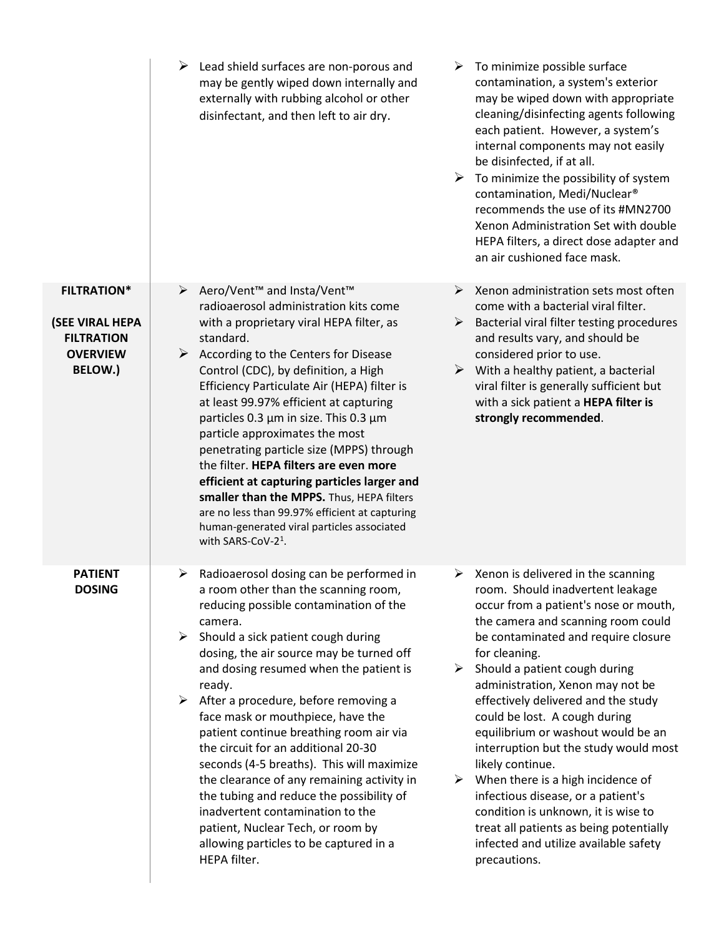|                                                                                                 | Lead shield surfaces are non-porous and<br>➤<br>may be gently wiped down internally and<br>externally with rubbing alcohol or other<br>disinfectant, and then left to air dry.                                                                                                                                                                                                                                                                                                                                                                                                                                                                                                                                                                 | To minimize possible surface<br>➤<br>contamination, a system's exterior<br>may be wiped down with appropriate<br>cleaning/disinfecting agents following<br>each patient. However, a system's<br>internal components may not easily<br>be disinfected, if at all.<br>To minimize the possibility of system<br>contamination, Medi/Nuclear®<br>recommends the use of its #MN2700<br>Xenon Administration Set with double<br>HEPA filters, a direct dose adapter and<br>an air cushioned face mask.                                                                                                                                                                                                   |
|-------------------------------------------------------------------------------------------------|------------------------------------------------------------------------------------------------------------------------------------------------------------------------------------------------------------------------------------------------------------------------------------------------------------------------------------------------------------------------------------------------------------------------------------------------------------------------------------------------------------------------------------------------------------------------------------------------------------------------------------------------------------------------------------------------------------------------------------------------|----------------------------------------------------------------------------------------------------------------------------------------------------------------------------------------------------------------------------------------------------------------------------------------------------------------------------------------------------------------------------------------------------------------------------------------------------------------------------------------------------------------------------------------------------------------------------------------------------------------------------------------------------------------------------------------------------|
| <b>FILTRATION*</b><br>(SEE VIRAL HEPA<br><b>FILTRATION</b><br><b>OVERVIEW</b><br><b>BELOW.)</b> | Aero/Vent <sup>™</sup> and Insta/Vent™<br>radioaerosol administration kits come<br>with a proprietary viral HEPA filter, as<br>standard.<br>$\triangleright$ According to the Centers for Disease<br>Control (CDC), by definition, a High<br>Efficiency Particulate Air (HEPA) filter is<br>at least 99.97% efficient at capturing<br>particles 0.3 µm in size. This 0.3 µm<br>particle approximates the most<br>penetrating particle size (MPPS) through<br>the filter. HEPA filters are even more<br>efficient at capturing particles larger and<br>smaller than the MPPS. Thus, HEPA filters<br>are no less than 99.97% efficient at capturing<br>human-generated viral particles associated<br>with SARS-CoV-2 <sup>1</sup> .              | Xenon administration sets most often<br>come with a bacterial viral filter.<br>Bacterial viral filter testing procedures<br>➤<br>and results vary, and should be<br>considered prior to use.<br>$\triangleright$ With a healthy patient, a bacterial<br>viral filter is generally sufficient but<br>with a sick patient a HEPA filter is<br>strongly recommended.                                                                                                                                                                                                                                                                                                                                  |
| <b>PATIENT</b><br><b>DOSING</b>                                                                 | Radioaerosol dosing can be performed in<br>➤<br>a room other than the scanning room,<br>reducing possible contamination of the<br>camera.<br>Should a sick patient cough during<br>➤<br>dosing, the air source may be turned off<br>and dosing resumed when the patient is<br>ready.<br>$\triangleright$ After a procedure, before removing a<br>face mask or mouthpiece, have the<br>patient continue breathing room air via<br>the circuit for an additional 20-30<br>seconds (4-5 breaths). This will maximize<br>the clearance of any remaining activity in<br>the tubing and reduce the possibility of<br>inadvertent contamination to the<br>patient, Nuclear Tech, or room by<br>allowing particles to be captured in a<br>HEPA filter. | Xenon is delivered in the scanning<br>➤<br>room. Should inadvertent leakage<br>occur from a patient's nose or mouth,<br>the camera and scanning room could<br>be contaminated and require closure<br>for cleaning.<br>Should a patient cough during<br>➤<br>administration, Xenon may not be<br>effectively delivered and the study<br>could be lost. A cough during<br>equilibrium or washout would be an<br>interruption but the study would most<br>likely continue.<br>When there is a high incidence of<br>➤<br>infectious disease, or a patient's<br>condition is unknown, it is wise to<br>treat all patients as being potentially<br>infected and utilize available safety<br>precautions. |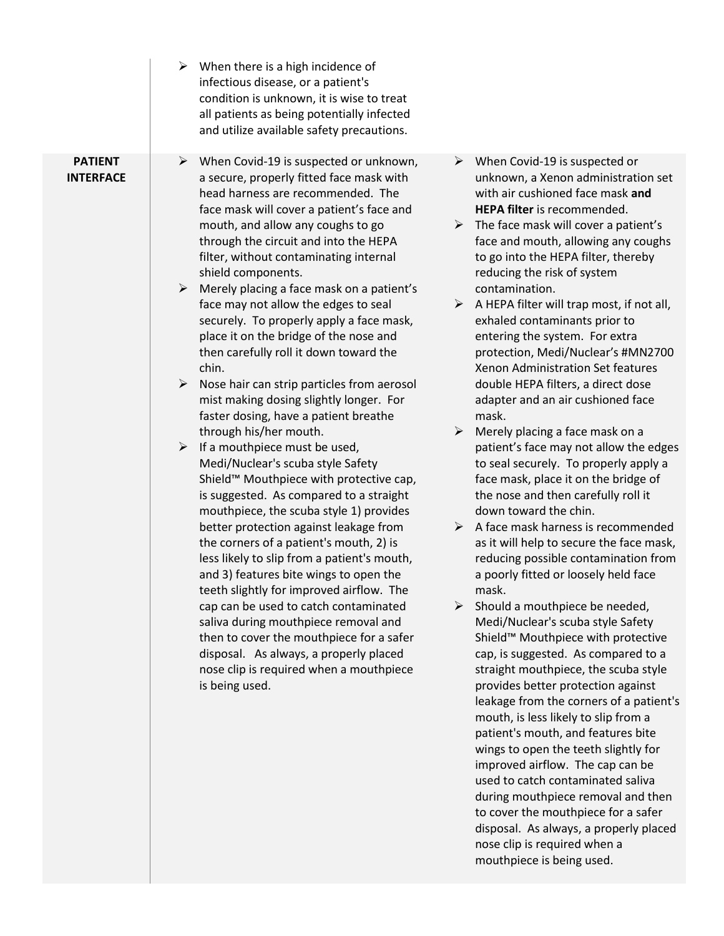|                                    | $\triangleright$ When there is a high incidence of<br>infectious disease, or a patient's<br>condition is unknown, it is wise to treat<br>all patients as being potentially infected<br>and utilize available safety precautions.                                                                                                                                                                                                                                                                                                                                                                                                                                                                                                                                                                                                                                                                                                                                                                                                                                                                                                                                                                                                                                                                                                                                                                                          |                                                                                                                                                                                                                                                                                                                                                                                                                                                                                                                                                                                                                                                                                                                                                                                                                                                                                                                                                                                                                                                                                                                                                                                                                                                                                                                                                                                                                                                                                                                                                                                                                                         |
|------------------------------------|---------------------------------------------------------------------------------------------------------------------------------------------------------------------------------------------------------------------------------------------------------------------------------------------------------------------------------------------------------------------------------------------------------------------------------------------------------------------------------------------------------------------------------------------------------------------------------------------------------------------------------------------------------------------------------------------------------------------------------------------------------------------------------------------------------------------------------------------------------------------------------------------------------------------------------------------------------------------------------------------------------------------------------------------------------------------------------------------------------------------------------------------------------------------------------------------------------------------------------------------------------------------------------------------------------------------------------------------------------------------------------------------------------------------------|-----------------------------------------------------------------------------------------------------------------------------------------------------------------------------------------------------------------------------------------------------------------------------------------------------------------------------------------------------------------------------------------------------------------------------------------------------------------------------------------------------------------------------------------------------------------------------------------------------------------------------------------------------------------------------------------------------------------------------------------------------------------------------------------------------------------------------------------------------------------------------------------------------------------------------------------------------------------------------------------------------------------------------------------------------------------------------------------------------------------------------------------------------------------------------------------------------------------------------------------------------------------------------------------------------------------------------------------------------------------------------------------------------------------------------------------------------------------------------------------------------------------------------------------------------------------------------------------------------------------------------------------|
| <b>PATIENT</b><br><b>INTERFACE</b> | When Covid-19 is suspected or unknown,<br>➤<br>a secure, properly fitted face mask with<br>head harness are recommended. The<br>face mask will cover a patient's face and<br>mouth, and allow any coughs to go<br>through the circuit and into the HEPA<br>filter, without contaminating internal<br>shield components.<br>Merely placing a face mask on a patient's<br>➤<br>face may not allow the edges to seal<br>securely. To properly apply a face mask,<br>place it on the bridge of the nose and<br>then carefully roll it down toward the<br>chin.<br>➤<br>Nose hair can strip particles from aerosol<br>mist making dosing slightly longer. For<br>faster dosing, have a patient breathe<br>through his/her mouth.<br>If a mouthpiece must be used,<br>$\blacktriangleright$<br>Medi/Nuclear's scuba style Safety<br>Shield™ Mouthpiece with protective cap,<br>is suggested. As compared to a straight<br>mouthpiece, the scuba style 1) provides<br>better protection against leakage from<br>the corners of a patient's mouth, 2) is<br>less likely to slip from a patient's mouth,<br>and 3) features bite wings to open the<br>teeth slightly for improved airflow. The<br>cap can be used to catch contaminated<br>saliva during mouthpiece removal and<br>then to cover the mouthpiece for a safer<br>disposal. As always, a properly placed<br>nose clip is required when a mouthpiece<br>is being used. | When Covid-19 is suspected or<br>➤<br>unknown, a Xenon administration set<br>with air cushioned face mask and<br>HEPA filter is recommended.<br>The face mask will cover a patient's<br>➤<br>face and mouth, allowing any coughs<br>to go into the HEPA filter, thereby<br>reducing the risk of system<br>contamination.<br>A HEPA filter will trap most, if not all,<br>➤<br>exhaled contaminants prior to<br>entering the system. For extra<br>protection, Medi/Nuclear's #MN2700<br>Xenon Administration Set features<br>double HEPA filters, a direct dose<br>adapter and an air cushioned face<br>mask.<br>Merely placing a face mask on a<br>➤<br>patient's face may not allow the edges<br>to seal securely. To properly apply a<br>face mask, place it on the bridge of<br>the nose and then carefully roll it<br>down toward the chin.<br>A face mask harness is recommended<br>➤<br>as it will help to secure the face mask,<br>reducing possible contamination from<br>a poorly fitted or loosely held face<br>mask.<br>Should a mouthpiece be needed,<br>➤<br>Medi/Nuclear's scuba style Safety<br>Shield™ Mouthpiece with protective<br>cap, is suggested. As compared to a<br>straight mouthpiece, the scuba style<br>provides better protection against<br>leakage from the corners of a patient's<br>mouth, is less likely to slip from a<br>patient's mouth, and features bite<br>wings to open the teeth slightly for<br>improved airflow. The cap can be<br>used to catch contaminated saliva<br>during mouthpiece removal and then<br>to cover the mouthpiece for a safer<br>disposal. As always, a properly placed |

nose clip is required when a mouthpiece is being used.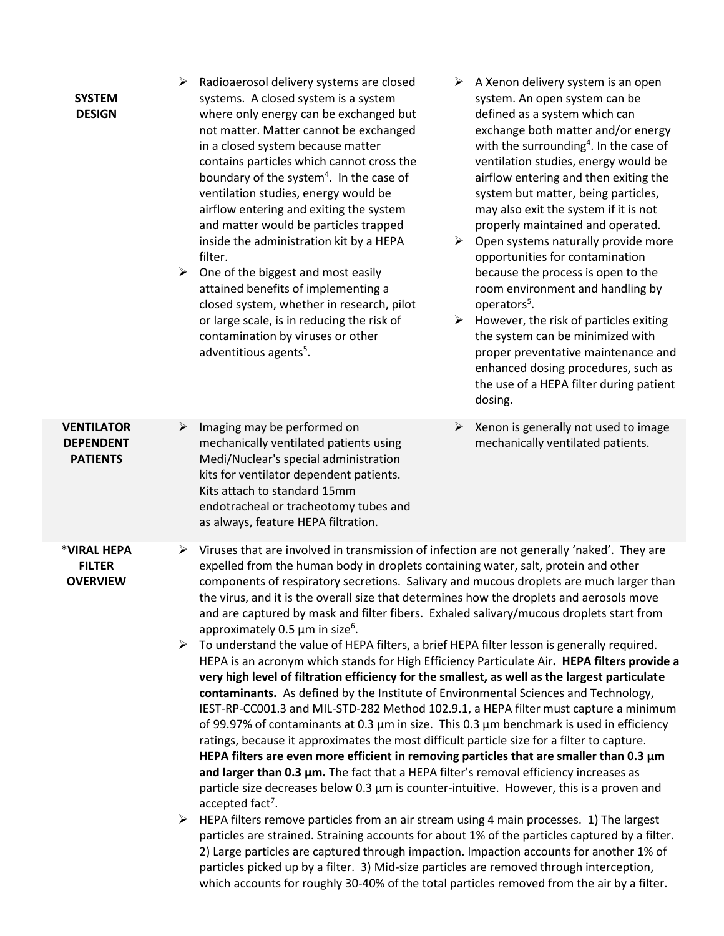| <b>SYSTEM</b><br><b>DESIGN</b>                           | ➤<br>Radioaerosol delivery systems are closed<br>A Xenon delivery system is an open<br>➤<br>systems. A closed system is a system<br>system. An open system can be<br>defined as a system which can<br>where only energy can be exchanged but<br>not matter. Matter cannot be exchanged<br>exchange both matter and/or energy<br>with the surrounding <sup>4</sup> . In the case of<br>in a closed system because matter<br>contains particles which cannot cross the<br>ventilation studies, energy would be<br>boundary of the system <sup>4</sup> . In the case of<br>airflow entering and then exiting the<br>ventilation studies, energy would be<br>system but matter, being particles,<br>airflow entering and exiting the system<br>may also exit the system if it is not<br>and matter would be particles trapped<br>properly maintained and operated.<br>inside the administration kit by a HEPA<br>Open systems naturally provide more<br>➤<br>filter.<br>opportunities for contamination<br>$\triangleright$ One of the biggest and most easily<br>because the process is open to the<br>attained benefits of implementing a<br>room environment and handling by<br>closed system, whether in research, pilot<br>operators <sup>5</sup> .<br>or large scale, is in reducing the risk of<br>However, the risk of particles exiting<br>➤<br>contamination by viruses or other<br>the system can be minimized with<br>adventitious agents <sup>5</sup> .<br>proper preventative maintenance and<br>enhanced dosing procedures, such as<br>the use of a HEPA filter during patient<br>dosing.                                                                                                                                                                                                                                                                                                                                                                                                                                                                         |  |
|----------------------------------------------------------|------------------------------------------------------------------------------------------------------------------------------------------------------------------------------------------------------------------------------------------------------------------------------------------------------------------------------------------------------------------------------------------------------------------------------------------------------------------------------------------------------------------------------------------------------------------------------------------------------------------------------------------------------------------------------------------------------------------------------------------------------------------------------------------------------------------------------------------------------------------------------------------------------------------------------------------------------------------------------------------------------------------------------------------------------------------------------------------------------------------------------------------------------------------------------------------------------------------------------------------------------------------------------------------------------------------------------------------------------------------------------------------------------------------------------------------------------------------------------------------------------------------------------------------------------------------------------------------------------------------------------------------------------------------------------------------------------------------------------------------------------------------------------------------------------------------------------------------------------------------------------------------------------------------------------------------------------------------------------------------------------------------------------------------------------------------------------|--|
| <b>VENTILATOR</b><br><b>DEPENDENT</b><br><b>PATIENTS</b> | Imaging may be performed on<br>Xenon is generally not used to image<br>➤<br>➤<br>mechanically ventilated patients using<br>mechanically ventilated patients.<br>Medi/Nuclear's special administration<br>kits for ventilator dependent patients.<br>Kits attach to standard 15mm<br>endotracheal or tracheotomy tubes and<br>as always, feature HEPA filtration.                                                                                                                                                                                                                                                                                                                                                                                                                                                                                                                                                                                                                                                                                                                                                                                                                                                                                                                                                                                                                                                                                                                                                                                                                                                                                                                                                                                                                                                                                                                                                                                                                                                                                                             |  |
| *VIRAL HEPA<br><b>FILTER</b><br><b>OVERVIEW</b>          | $\triangleright$ Viruses that are involved in transmission of infection are not generally 'naked'. They are<br>expelled from the human body in droplets containing water, salt, protein and other<br>components of respiratory secretions. Salivary and mucous droplets are much larger than<br>the virus, and it is the overall size that determines how the droplets and aerosols move<br>and are captured by mask and filter fibers. Exhaled salivary/mucous droplets start from<br>approximately 0.5 $\mu$ m in size <sup>6</sup> .<br>$\triangleright$ To understand the value of HEPA filters, a brief HEPA filter lesson is generally required.<br>HEPA is an acronym which stands for High Efficiency Particulate Air. HEPA filters provide a<br>very high level of filtration efficiency for the smallest, as well as the largest particulate<br>contaminants. As defined by the Institute of Environmental Sciences and Technology,<br>IEST-RP-CC001.3 and MIL-STD-282 Method 102.9.1, a HEPA filter must capture a minimum<br>of 99.97% of contaminants at 0.3 $\mu$ m in size. This 0.3 $\mu$ m benchmark is used in efficiency<br>ratings, because it approximates the most difficult particle size for a filter to capture.<br>HEPA filters are even more efficient in removing particles that are smaller than 0.3 $\mu$ m<br>and larger than $0.3 \mu m$ . The fact that a HEPA filter's removal efficiency increases as<br>particle size decreases below 0.3 $\mu$ m is counter-intuitive. However, this is a proven and<br>accepted fact <sup>7</sup> .<br>$\triangleright$ HEPA filters remove particles from an air stream using 4 main processes. 1) The largest<br>particles are strained. Straining accounts for about 1% of the particles captured by a filter.<br>2) Large particles are captured through impaction. Impaction accounts for another 1% of<br>particles picked up by a filter. 3) Mid-size particles are removed through interception,<br>which accounts for roughly 30-40% of the total particles removed from the air by a filter. |  |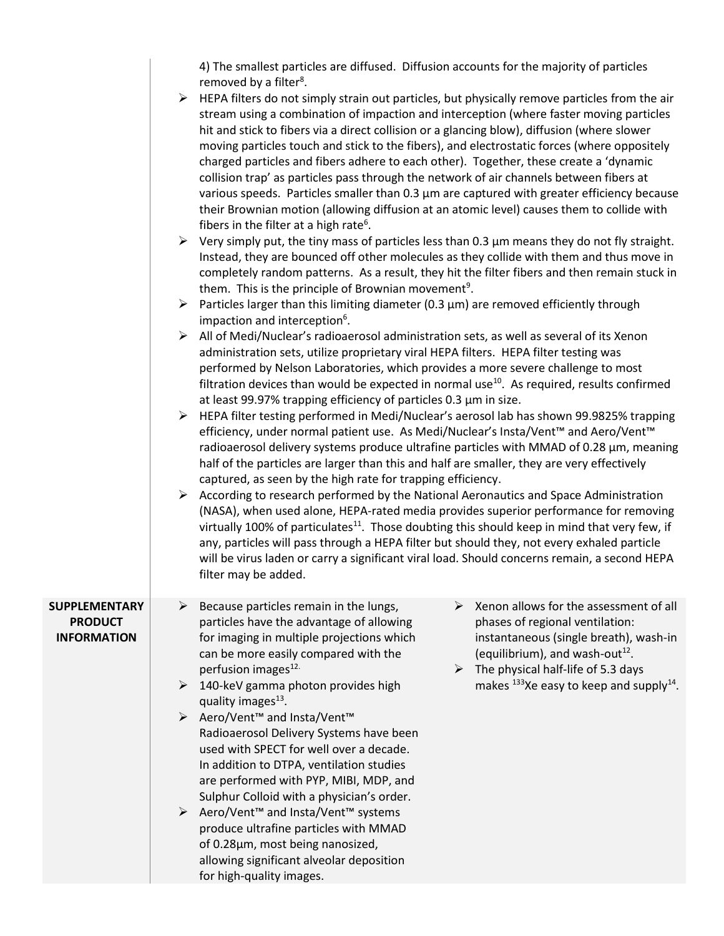4) The smallest particles are diffused. Diffusion accounts for the majority of particles removed by a filter<sup>8</sup>.

|                                                              | HEPA filters do not simply strain out particles, but physically remove particles from the air<br>stream using a combination of impaction and interception (where faster moving particles<br>hit and stick to fibers via a direct collision or a glancing blow), diffusion (where slower<br>moving particles touch and stick to the fibers), and electrostatic forces (where oppositely<br>charged particles and fibers adhere to each other). Together, these create a 'dynamic<br>collision trap' as particles pass through the network of air channels between fibers at<br>various speeds. Particles smaller than 0.3 µm are captured with greater efficiency because<br>their Brownian motion (allowing diffusion at an atomic level) causes them to collide with<br>fibers in the filter at a high rate <sup>6</sup> .<br>Very simply put, the tiny mass of particles less than 0.3 $\mu$ m means they do not fly straight.<br>➤<br>Instead, they are bounced off other molecules as they collide with them and thus move in<br>completely random patterns. As a result, they hit the filter fibers and then remain stuck in<br>them. This is the principle of Brownian movement <sup>9</sup> .<br>Particles larger than this limiting diameter (0.3 $\mu$ m) are removed efficiently through<br>impaction and interception <sup>6</sup> .<br>All of Medi/Nuclear's radioaerosol administration sets, as well as several of its Xenon<br>➤<br>administration sets, utilize proprietary viral HEPA filters. HEPA filter testing was<br>performed by Nelson Laboratories, which provides a more severe challenge to most<br>filtration devices than would be expected in normal use <sup>10</sup> . As required, results confirmed<br>at least 99.97% trapping efficiency of particles 0.3 µm in size.<br>HEPA filter testing performed in Medi/Nuclear's aerosol lab has shown 99.9825% trapping<br>efficiency, under normal patient use. As Medi/Nuclear's Insta/Vent™ and Aero/Vent™<br>radioaerosol delivery systems produce ultrafine particles with MMAD of 0.28 µm, meaning<br>half of the particles are larger than this and half are smaller, they are very effectively<br>captured, as seen by the high rate for trapping efficiency.<br>According to research performed by the National Aeronautics and Space Administration<br>(NASA), when used alone, HEPA-rated media provides superior performance for removing<br>virtually 100% of particulates <sup>11</sup> . Those doubting this should keep in mind that very few, if<br>any, particles will pass through a HEPA filter but should they, not every exhaled particle<br>will be virus laden or carry a significant viral load. Should concerns remain, a second HEPA<br>filter may be added. |
|--------------------------------------------------------------|----------------------------------------------------------------------------------------------------------------------------------------------------------------------------------------------------------------------------------------------------------------------------------------------------------------------------------------------------------------------------------------------------------------------------------------------------------------------------------------------------------------------------------------------------------------------------------------------------------------------------------------------------------------------------------------------------------------------------------------------------------------------------------------------------------------------------------------------------------------------------------------------------------------------------------------------------------------------------------------------------------------------------------------------------------------------------------------------------------------------------------------------------------------------------------------------------------------------------------------------------------------------------------------------------------------------------------------------------------------------------------------------------------------------------------------------------------------------------------------------------------------------------------------------------------------------------------------------------------------------------------------------------------------------------------------------------------------------------------------------------------------------------------------------------------------------------------------------------------------------------------------------------------------------------------------------------------------------------------------------------------------------------------------------------------------------------------------------------------------------------------------------------------------------------------------------------------------------------------------------------------------------------------------------------------------------------------------------------------------------------------------------------------------------------------------------------------------------------------------------------------------------------------------------------------------------------------------------------------------------------------------------------------------------------------------------------------------------------------------------------------------------|
| <b>SUPPLEMENTARY</b><br><b>PRODUCT</b><br><b>INFORMATION</b> | $\triangleright$ Xenon allows for the assessment of all<br>Because particles remain in the lungs,<br>➤<br>particles have the advantage of allowing<br>phases of regional ventilation:<br>for imaging in multiple projections which<br>instantaneous (single breath), wash-in<br>(equilibrium), and wash-out <sup>12</sup> .<br>can be more easily compared with the<br>perfusion images <sup>12.</sup><br>$\triangleright$ The physical half-life of 5.3 days<br>makes $^{133}$ Xe easy to keep and supply <sup>14</sup> .<br>$\triangleright$ 140-keV gamma photon provides high<br>quality images <sup>13</sup> .<br>Aero/Vent <sup>™</sup> and Insta/Vent™<br>➤<br>Radioaerosol Delivery Systems have been<br>used with SPECT for well over a decade.<br>In addition to DTPA, ventilation studies<br>are performed with PYP, MIBI, MDP, and<br>Sulphur Colloid with a physician's order.<br>▶ Aero/Vent <sup>™</sup> and Insta/Vent™ systems<br>produce ultrafine particles with MMAD<br>of 0.28µm, most being nanosized,<br>allowing significant alveolar deposition<br>for high-quality images.                                                                                                                                                                                                                                                                                                                                                                                                                                                                                                                                                                                                                                                                                                                                                                                                                                                                                                                                                                                                                                                                                                                                                                                                                                                                                                                                                                                                                                                                                                                                                                                                                                                                 |